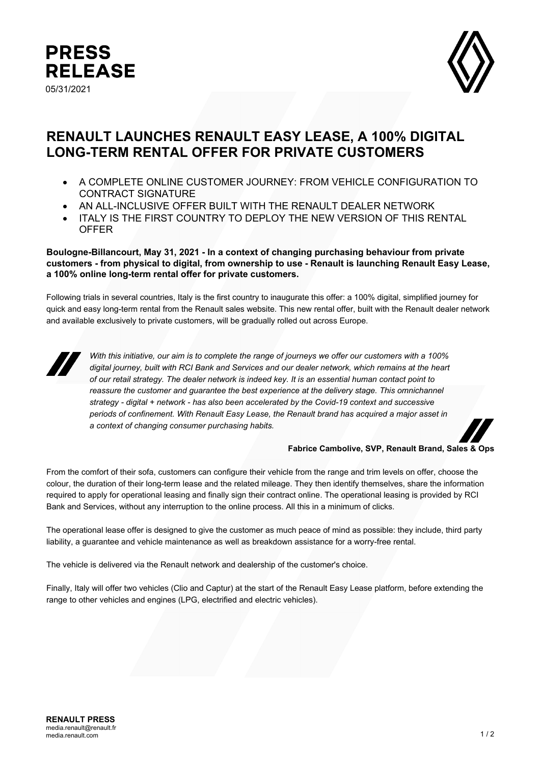



# **RENAULT LAUNCHES RENAULT EASY LEASE, A 100% DIGITAL LONG-TERM RENTAL OFFER FOR PRIVATE CUSTOMERS**

- A COMPLETE ONLINE CUSTOMER JOURNEY: FROM VEHICLE CONFIGURATION TO CONTRACT SIGNATURE
- AN ALL-INCLUSIVE OFFER BUILT WITH THE RENAULT DEALER NETWORK
- ITALY IS THE FIRST COUNTRY TO DEPLOY THE NEW VERSION OF THIS RENTAL **OFFER**

## **Boulogne-Billancourt, May 31, 2021 - In a context of changing purchasing behaviour from private customers - from physical to digital, from ownership to use - Renault is launching Renault Easy Lease, a 100% online long-term rental offer for private customers.**

Following trials in several countries, Italy is the first country to inaugurate this offer: a 100% digital, simplified journey for quick and easy long-term rental from the Renault sales website. This new rental offer, built with the Renault dealer network and available exclusively to private customers, will be gradually rolled out across Europe.



*With this initiative, our aim is to complete the range of journeys we offer our customers with a 100% digital journey, built with RCI Bank and Services and our dealer network, which remains at the heart of our retail strategy. The dealer network is indeed key. It is an essential human contact point to*  reassure the customer and quarantee the best experience at the delivery stage. This omnichannel *strategy - digital + network - has also been accelerated by the Covid-19 context and successive periods of confinement. With Renault Easy Lease, the Renault brand has acquired a major asset in a context of changing consumer purchasing habits.*



#### **Fabrice Cambolive, SVP, Renault Brand, Sales & Ops**

From the comfort of their sofa, customers can configure their vehicle from the range and trim levels on offer, choose the colour, the duration of their long-term lease and the related mileage. They then identify themselves, share the information required to apply for operational leasing and finally sign their contract online. The operational leasing is provided by RCI Bank and Services, without any interruption to the online process. All this in a minimum of clicks.

The operational lease offer is designed to give the customer as much peace of mind as possible: they include, third party liability, a guarantee and vehicle maintenance as well as breakdown assistance for a worry-free rental.

The vehicle is delivered via the Renault network and dealership of the customer's choice.

Finally, Italy will offer two vehicles (Clio and Captur) at the start of the Renault Easy Lease platform, before extending the range to other vehicles and engines (LPG, electrified and electric vehicles).